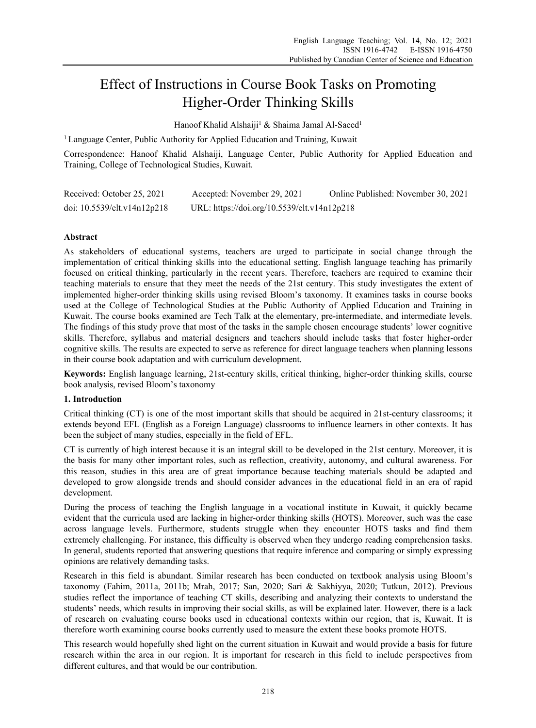# Effect of Instructions in Course Book Tasks on Promoting Higher-Order Thinking Skills

Hanoof Khalid Alshaiji<sup>1</sup> & Shaima Jamal Al-Saeed<sup>1</sup>

<sup>1</sup> Language Center, Public Authority for Applied Education and Training, Kuwait

Correspondence: Hanoof Khalid Alshaiji, Language Center, Public Authority for Applied Education and Training, College of Technological Studies, Kuwait.

| Received: October 25, 2021  | Accepted: November 29, 2021                 | Online Published: November 30, 2021 |
|-----------------------------|---------------------------------------------|-------------------------------------|
| doi: 10.5539/elt.v14n12p218 | URL: https://doi.org/10.5539/elt.v14n12p218 |                                     |

## **Abstract**

As stakeholders of educational systems, teachers are urged to participate in social change through the implementation of critical thinking skills into the educational setting. English language teaching has primarily focused on critical thinking, particularly in the recent years. Therefore, teachers are required to examine their teaching materials to ensure that they meet the needs of the 21st century. This study investigates the extent of implemented higher-order thinking skills using revised Bloom's taxonomy. It examines tasks in course books used at the College of Technological Studies at the Public Authority of Applied Education and Training in Kuwait. The course books examined are Tech Talk at the elementary, pre-intermediate, and intermediate levels. The findings of this study prove that most of the tasks in the sample chosen encourage students' lower cognitive skills. Therefore, syllabus and material designers and teachers should include tasks that foster higher-order cognitive skills. The results are expected to serve as reference for direct language teachers when planning lessons in their course book adaptation and with curriculum development.

**Keywords:** English language learning, 21st-century skills, critical thinking, higher-order thinking skills, course book analysis, revised Bloom's taxonomy

## **1. Introduction**

Critical thinking (CT) is one of the most important skills that should be acquired in 21st-century classrooms; it extends beyond EFL (English as a Foreign Language) classrooms to influence learners in other contexts. It has been the subject of many studies, especially in the field of EFL.

CT is currently of high interest because it is an integral skill to be developed in the 21st century. Moreover, it is the basis for many other important roles, such as reflection, creativity, autonomy, and cultural awareness. For this reason, studies in this area are of great importance because teaching materials should be adapted and developed to grow alongside trends and should consider advances in the educational field in an era of rapid development.

During the process of teaching the English language in a vocational institute in Kuwait, it quickly became evident that the curricula used are lacking in higher-order thinking skills (HOTS). Moreover, such was the case across language levels. Furthermore, students struggle when they encounter HOTS tasks and find them extremely challenging. For instance, this difficulty is observed when they undergo reading comprehension tasks. In general, students reported that answering questions that require inference and comparing or simply expressing opinions are relatively demanding tasks.

Research in this field is abundant. Similar research has been conducted on textbook analysis using Bloom's taxonomy (Fahim, 2011a, 2011b; Mrah, 2017; San, 2020; Sari & Sakhiyya, 2020; Tutkun, 2012). Previous studies reflect the importance of teaching CT skills, describing and analyzing their contexts to understand the students' needs, which results in improving their social skills, as will be explained later. However, there is a lack of research on evaluating course books used in educational contexts within our region, that is, Kuwait. It is therefore worth examining course books currently used to measure the extent these books promote HOTS.

This research would hopefully shed light on the current situation in Kuwait and would provide a basis for future research within the area in our region. It is important for research in this field to include perspectives from different cultures, and that would be our contribution.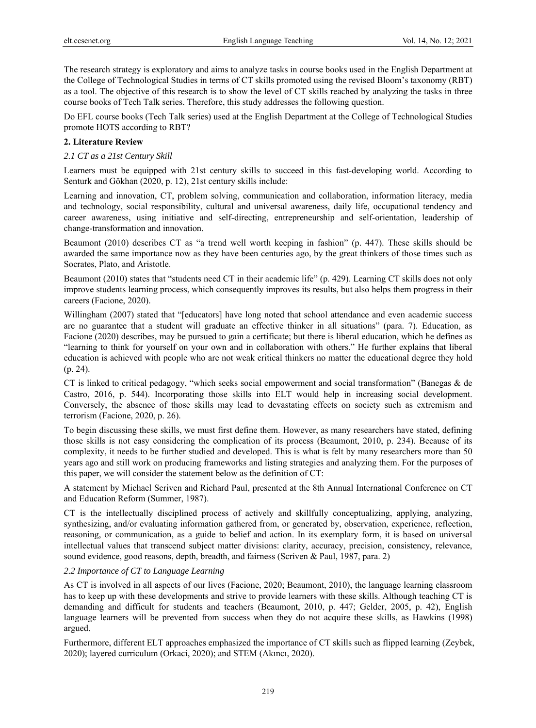The research strategy is exploratory and aims to analyze tasks in course books used in the English Department at the College of Technological Studies in terms of CT skills promoted using the revised Bloom's taxonomy (RBT) as a tool. The objective of this research is to show the level of CT skills reached by analyzing the tasks in three course books of Tech Talk series. Therefore, this study addresses the following question.

Do EFL course books (Tech Talk series) used at the English Department at the College of Technological Studies promote HOTS according to RBT?

#### **2. Literature Review**

#### *2.1 CT as a 21st Century Skill*

Learners must be equipped with 21st century skills to succeed in this fast-developing world. According to Senturk and Gökhan (2020, p. 12), 21st century skills include:

Learning and innovation, CT, problem solving, communication and collaboration, information literacy, media and technology, social responsibility, cultural and universal awareness, daily life, occupational tendency and career awareness, using initiative and self-directing, entrepreneurship and self-orientation, leadership of change-transformation and innovation.

Beaumont (2010) describes CT as "a trend well worth keeping in fashion" (p. 447). These skills should be awarded the same importance now as they have been centuries ago, by the great thinkers of those times such as Socrates, Plato, and Aristotle.

Beaumont (2010) states that "students need CT in their academic life" (p. 429). Learning CT skills does not only improve students learning process, which consequently improves its results, but also helps them progress in their careers (Facione, 2020).

Willingham (2007) stated that "[educators] have long noted that school attendance and even academic success are no guarantee that a student will graduate an effective thinker in all situations" (para. 7). Education, as Facione (2020) describes, may be pursued to gain a certificate; but there is liberal education, which he defines as "learning to think for yourself on your own and in collaboration with others." He further explains that liberal education is achieved with people who are not weak critical thinkers no matter the educational degree they hold (p. 24).

CT is linked to critical pedagogy, "which seeks social empowerment and social transformation" (Banegas & de Castro, 2016, p. 544). Incorporating those skills into ELT would help in increasing social development. Conversely, the absence of those skills may lead to devastating effects on society such as extremism and terrorism (Facione, 2020, p. 26).

To begin discussing these skills, we must first define them. However, as many researchers have stated, defining those skills is not easy considering the complication of its process (Beaumont, 2010, p. 234). Because of its complexity, it needs to be further studied and developed. This is what is felt by many researchers more than 50 years ago and still work on producing frameworks and listing strategies and analyzing them. For the purposes of this paper, we will consider the statement below as the definition of CT:

A statement by Michael Scriven and Richard Paul, presented at the 8th Annual International Conference on CT and Education Reform (Summer, 1987).

CT is the intellectually disciplined process of actively and skillfully conceptualizing, applying, analyzing, synthesizing, and/or evaluating information gathered from, or generated by, observation, experience, reflection, reasoning, or communication, as a guide to belief and action. In its exemplary form, it is based on universal intellectual values that transcend subject matter divisions: clarity, accuracy, precision, consistency, relevance, sound evidence, good reasons, depth, breadth, and fairness (Scriven & Paul, 1987, para. 2)

## *2.2 Importance of CT to Language Learning*

As CT is involved in all aspects of our lives (Facione, 2020; Beaumont, 2010), the language learning classroom has to keep up with these developments and strive to provide learners with these skills. Although teaching CT is demanding and difficult for students and teachers (Beaumont, 2010, p. 447; Gelder, 2005, p. 42), English language learners will be prevented from success when they do not acquire these skills, as Hawkins (1998) argued.

Furthermore, different ELT approaches emphasized the importance of CT skills such as flipped learning (Zeybek, 2020); layered curriculum (Orkaci, 2020); and STEM (Akıncı, 2020).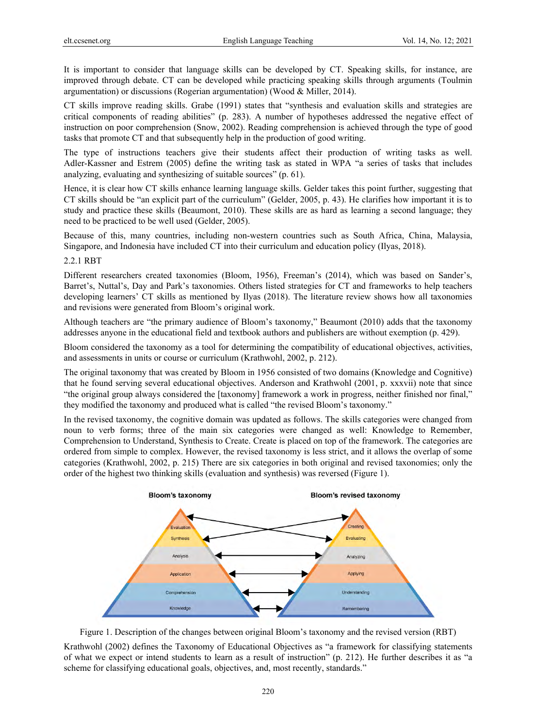It is important to consider that language skills can be developed by CT. Speaking skills, for instance, are improved through debate. CT can be developed while practicing speaking skills through arguments (Toulmin argumentation) or discussions (Rogerian argumentation) (Wood & Miller, 2014).

CT skills improve reading skills. Grabe (1991) states that "synthesis and evaluation skills and strategies are critical components of reading abilities" (p. 283). A number of hypotheses addressed the negative effect of instruction on poor comprehension (Snow, 2002). Reading comprehension is achieved through the type of good tasks that promote CT and that subsequently help in the production of good writing.

The type of instructions teachers give their students affect their production of writing tasks as well. Adler-Kassner and Estrem (2005) define the writing task as stated in WPA "a series of tasks that includes analyzing, evaluating and synthesizing of suitable sources" (p. 61).

Hence, it is clear how CT skills enhance learning language skills. Gelder takes this point further, suggesting that CT skills should be "an explicit part of the curriculum" (Gelder, 2005, p. 43). He clarifies how important it is to study and practice these skills (Beaumont, 2010). These skills are as hard as learning a second language; they need to be practiced to be well used (Gelder, 2005).

Because of this, many countries, including non-western countries such as South Africa, China, Malaysia, Singapore, and Indonesia have included CT into their curriculum and education policy (Ilyas, 2018).

## 2.2.1 RBT

Different researchers created taxonomies (Bloom, 1956), Freeman's (2014), which was based on Sander's, Barret's, Nuttal's, Day and Park's taxonomies. Others listed strategies for CT and frameworks to help teachers developing learners' CT skills as mentioned by Ilyas (2018). The literature review shows how all taxonomies and revisions were generated from Bloom's original work.

Although teachers are "the primary audience of Bloom's taxonomy," Beaumont (2010) adds that the taxonomy addresses anyone in the educational field and textbook authors and publishers are without exemption (p. 429).

Bloom considered the taxonomy as a tool for determining the compatibility of educational objectives, activities, and assessments in units or course or curriculum (Krathwohl, 2002, p. 212).

The original taxonomy that was created by Bloom in 1956 consisted of two domains (Knowledge and Cognitive) that he found serving several educational objectives. Anderson and Krathwohl (2001, p. xxxvii) note that since "the original group always considered the [taxonomy] framework a work in progress, neither finished nor final," they modified the taxonomy and produced what is called "the revised Bloom's taxonomy."

In the revised taxonomy, the cognitive domain was updated as follows. The skills categories were changed from noun to verb forms; three of the main six categories were changed as well: Knowledge to Remember, Comprehension to Understand, Synthesis to Create. Create is placed on top of the framework. The categories are ordered from simple to complex. However, the revised taxonomy is less strict, and it allows the overlap of some categories (Krathwohl, 2002, p. 215) There are six categories in both original and revised taxonomies; only the order of the highest two thinking skills (evaluation and synthesis) was reversed (Figure 1).





Krathwohl (2002) defines the Taxonomy of Educational Objectives as "a framework for classifying statements of what we expect or intend students to learn as a result of instruction" (p. 212). He further describes it as "a scheme for classifying educational goals, objectives, and, most recently, standards."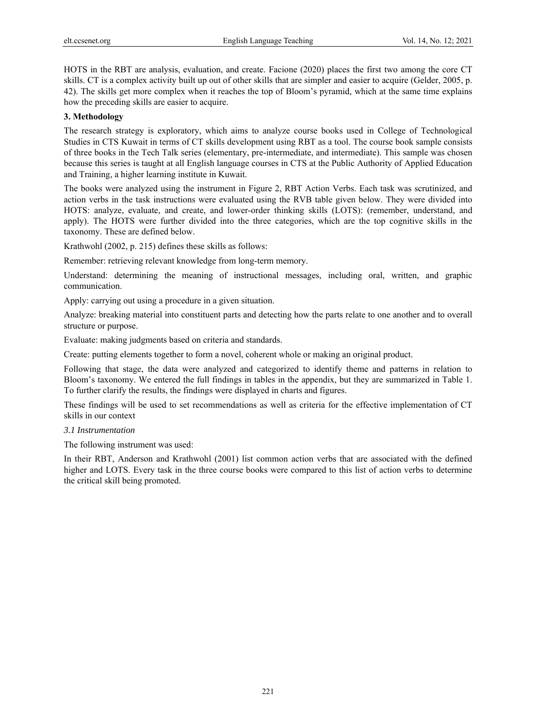HOTS in the RBT are analysis, evaluation, and create. Facione (2020) places the first two among the core CT skills. CT is a complex activity built up out of other skills that are simpler and easier to acquire (Gelder, 2005, p. 42). The skills get more complex when it reaches the top of Bloom's pyramid, which at the same time explains how the preceding skills are easier to acquire.

#### **3. Methodology**

The research strategy is exploratory, which aims to analyze course books used in College of Technological Studies in CTS Kuwait in terms of CT skills development using RBT as a tool. The course book sample consists of three books in the Tech Talk series (elementary, pre-intermediate, and intermediate). This sample was chosen because this series is taught at all English language courses in CTS at the Public Authority of Applied Education and Training, a higher learning institute in Kuwait.

The books were analyzed using the instrument in Figure 2, RBT Action Verbs. Each task was scrutinized, and action verbs in the task instructions were evaluated using the RVB table given below. They were divided into HOTS: analyze, evaluate, and create, and lower-order thinking skills (LOTS): (remember, understand, and apply). The HOTS were further divided into the three categories, which are the top cognitive skills in the taxonomy. These are defined below.

Krathwohl (2002, p. 215) defines these skills as follows:

Remember: retrieving relevant knowledge from long-term memory.

Understand: determining the meaning of instructional messages, including oral, written, and graphic communication.

Apply: carrying out using a procedure in a given situation.

Analyze: breaking material into constituent parts and detecting how the parts relate to one another and to overall structure or purpose.

Evaluate: making judgments based on criteria and standards.

Create: putting elements together to form a novel, coherent whole or making an original product.

Following that stage, the data were analyzed and categorized to identify theme and patterns in relation to Bloom's taxonomy. We entered the full findings in tables in the appendix, but they are summarized in Table 1. To further clarify the results, the findings were displayed in charts and figures.

These findings will be used to set recommendations as well as criteria for the effective implementation of CT skills in our context

#### *3.1 Instrumentation*

The following instrument was used:

In their RBT, Anderson and Krathwohl (2001) list common action verbs that are associated with the defined higher and LOTS. Every task in the three course books were compared to this list of action verbs to determine the critical skill being promoted.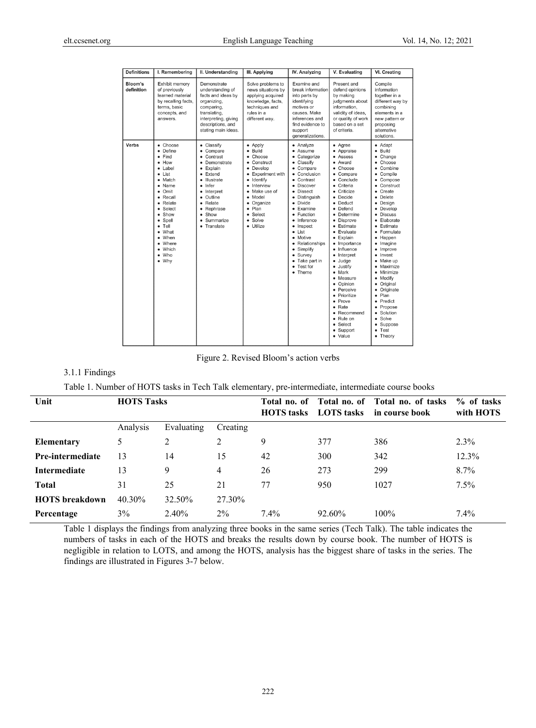| <b>Definitions</b>    | I. Remembering                                                                                                                                                                                                                                                         | II. Understanding                                                                                                                                                                                          | III. Applying                                                                                                                                                                                                              | IV. Analyzing                                                                                                                                                                                                                                                                                                                                             | V. Evaluating                                                                                                                                                                                                                                                                                                                                                                                                                             | <b>VI. Creating</b>                                                                                                                                                                                                                                                                                                                                                                                                                     |
|-----------------------|------------------------------------------------------------------------------------------------------------------------------------------------------------------------------------------------------------------------------------------------------------------------|------------------------------------------------------------------------------------------------------------------------------------------------------------------------------------------------------------|----------------------------------------------------------------------------------------------------------------------------------------------------------------------------------------------------------------------------|-----------------------------------------------------------------------------------------------------------------------------------------------------------------------------------------------------------------------------------------------------------------------------------------------------------------------------------------------------------|-------------------------------------------------------------------------------------------------------------------------------------------------------------------------------------------------------------------------------------------------------------------------------------------------------------------------------------------------------------------------------------------------------------------------------------------|-----------------------------------------------------------------------------------------------------------------------------------------------------------------------------------------------------------------------------------------------------------------------------------------------------------------------------------------------------------------------------------------------------------------------------------------|
| Bloom's<br>definition | Exhibit memory<br>of previously<br>learned material<br>by recalling facts,<br>terms, basic<br>concepts, and<br>answers.                                                                                                                                                | Demonstrate<br>understanding of<br>facts and ideas by<br>organizing,<br>comparing,<br>translating,<br>interpreting, giving<br>descriptions, and<br>stating main ideas.                                     | Solve problems to<br>news situations by<br>applying acquired<br>knowledge, facts,<br>techniques and<br>rules in a<br>different way.                                                                                        | Examine and<br>break information<br>into parts by<br>identifying<br>motives or<br>causes. Make<br>inferences and<br>find evidence to<br>support<br>generalizations.                                                                                                                                                                                       | Present and<br>defend opinions<br>by making<br>judgments about<br>information.<br>validity of ideas,<br>or quality of work<br>based on a set<br>of criteria.                                                                                                                                                                                                                                                                              | Compile<br>information<br>together in a<br>different way by<br>combining<br>elements in a<br>new pattern or<br>proposing<br>alternative<br>solutions.                                                                                                                                                                                                                                                                                   |
| Verbs                 | Choose<br>$\bullet$<br>Define<br>Find<br>How<br>٠<br>Label<br>٠<br>List<br>$\bullet$<br>Match<br>Name<br>٠<br>Omit<br>٠<br>Recall<br>٠<br>• Relate<br>Select<br>Show<br>$\bullet$<br>Spell<br>Tell<br>٠<br>What<br>When<br>Where<br>٠<br>Which<br>$\bullet$ Who<br>Why | • Classify<br>• Compare<br>Contrast<br>Demonstrate<br>٠<br>Explain<br>Extend<br>٠<br>Illustrate<br>Infer<br>٠<br>• Interpret<br>Outline<br>٠<br>• Relate<br>Rephrase<br>• Show<br>Summarize<br>• Translate | • Apply<br>· Build<br>Choose<br>• Construct<br>Develop<br>٠<br><b>Experiment with</b><br>٠<br>• Identify<br>Interview<br>Make use of<br>٠<br>Model<br>٠<br>• Organize<br>Plan<br>Select<br>$\bullet$<br>Solve<br>· Utilize | • Analyze<br>• Assume<br>Categorize<br>• Classify<br>• Compare<br>Conclusion<br>Contrast<br>٠<br>Discover<br>٠<br><b>Dissect</b><br>٠<br><b>Distinguish</b><br>٠<br>• Divide<br>Examine<br>• Function<br>Inference<br>Inspect<br>٠<br>List<br>٠<br>Motive<br>٠<br>• Relationships<br>Simplify<br>٠<br>• Survey<br>• Take part in<br>• Test for<br>• Theme | • Agree<br>• Appraise<br>Assess<br>• Award<br>Choose<br>Compare<br>Conclude<br>Criteria<br>Criticize<br>٠<br>Decide<br>• Deduct<br>Defend<br>Determine<br><b>Disprove</b><br>• Estimate<br>Evaluate<br>Explain<br>• Importance<br>• Influence<br>• Interpret<br>Judge<br>• Justify<br>Mark<br>Measure<br>٠<br>Opinion<br>Perceive<br>Prioritize<br>Prove<br>٠<br>$\bullet$ Rate<br>Recommend<br>· Rule on<br>Select<br>Support<br>• Value | • Adapt<br>Build<br>$\bullet$<br>Change<br>Choose<br>$\bullet$<br>Combine<br>Compile<br>Compose<br>Construct<br>Create<br>Delete<br>Desian<br>Develop<br><b>Discuss</b><br>Elaborate<br>Estimate<br>Formulate<br>Happen<br>Imagine<br>Improve<br>Invent<br>Make up<br>Maximize<br>Minimize<br>Modify<br>$\bullet$<br>Original<br>Originate<br>Plan<br>Predict<br>Propose<br>Solution<br>Solve<br>Suppose<br>Test<br>$\bullet$<br>Theory |

Figure 2. Revised Bloom's action verbs

# 3.1.1 Findings

Table 1. Number of HOTS tasks in Tech Talk elementary, pre-intermediate, intermediate course books

| Unit                    | <b>HOTS Tasks</b> |            |                | <b>HOTS</b> tasks | <b>LOTS</b> tasks | Total no. of Total no. of Total no. of tasks<br>in course book | % of tasks<br>with HOTS |
|-------------------------|-------------------|------------|----------------|-------------------|-------------------|----------------------------------------------------------------|-------------------------|
|                         | Analysis          | Evaluating | Creating       |                   |                   |                                                                |                         |
| <b>Elementary</b>       | 5                 | 2          | 2              | 9                 | 377               | 386                                                            | $2.3\%$                 |
| <b>Pre-intermediate</b> | 13                | 14         | 15             | 42                | 300               | 342                                                            | 12.3%                   |
| <b>Intermediate</b>     | 13                | 9          | $\overline{4}$ | 26                | 273               | 299                                                            | $8.7\%$                 |
| <b>Total</b>            | 31                | 25         | 21             | 77                | 950               | 1027                                                           | $7.5\%$                 |
| <b>HOTS</b> breakdown   | 40.30%            | 32.50%     | 27.30%         |                   |                   |                                                                |                         |
| Percentage              | 3%                | 2.40%      | $2\%$          | $7.4\%$           | 92.60%            | $100\%$                                                        | 7.4%                    |

Table 1 displays the findings from analyzing three books in the same series (Tech Talk). The table indicates the numbers of tasks in each of the HOTS and breaks the results down by course book. The number of HOTS is negligible in relation to LOTS, and among the HOTS, analysis has the biggest share of tasks in the series. The findings are illustrated in Figures 3-7 below.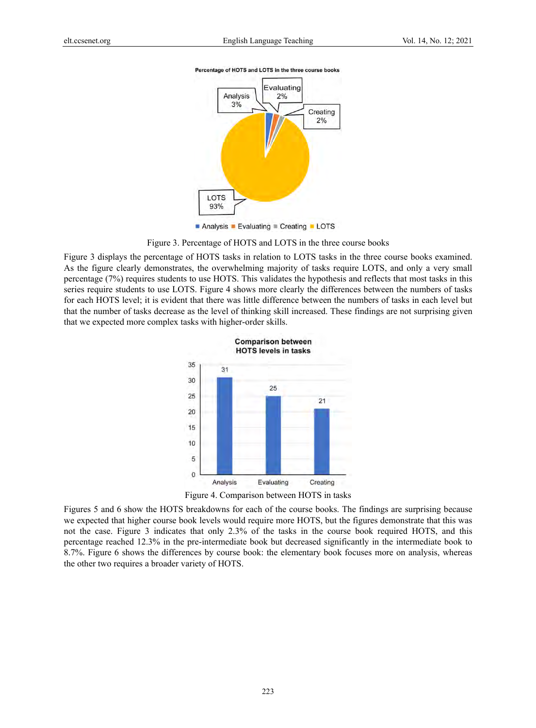

#### Percentage of HOTS and LOTS in the three course books

Analysis Evaluating Creating LOTS

Figure 3. Percentage of HOTS and LOTS in the three course books

Figure 3 displays the percentage of HOTS tasks in relation to LOTS tasks in the three course books examined. As the figure clearly demonstrates, the overwhelming majority of tasks require LOTS, and only a very small percentage (7%) requires students to use HOTS. This validates the hypothesis and reflects that most tasks in this series require students to use LOTS. Figure 4 shows more clearly the differences between the numbers of tasks for each HOTS level; it is evident that there was little difference between the numbers of tasks in each level but that the number of tasks decrease as the level of thinking skill increased. These findings are not surprising given that we expected more complex tasks with higher-order skills.



Figure 4. Comparison between HOTS in tasks

Figures 5 and 6 show the HOTS breakdowns for each of the course books. The findings are surprising because we expected that higher course book levels would require more HOTS, but the figures demonstrate that this was not the case. Figure 3 indicates that only 2.3% of the tasks in the course book required HOTS, and this percentage reached 12.3% in the pre-intermediate book but decreased significantly in the intermediate book to 8.7%. Figure 6 shows the differences by course book: the elementary book focuses more on analysis, whereas the other two requires a broader variety of HOTS.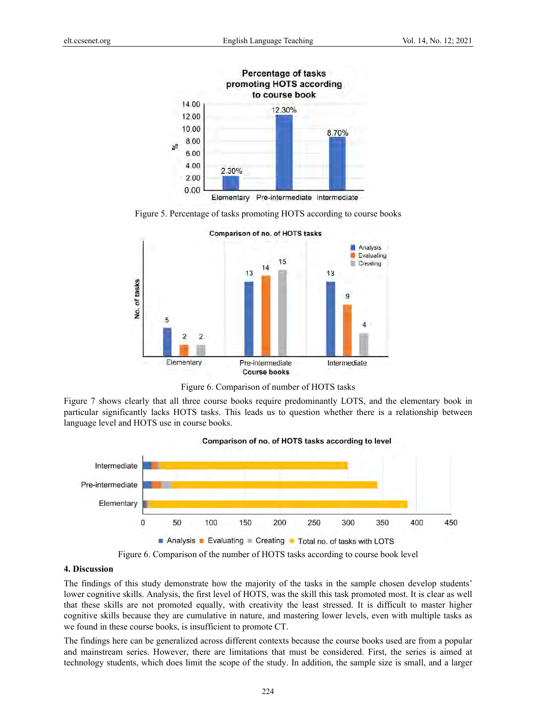







Figure 7 shows clearly that all three course books require predominantly LOTS, and the elementary book in particular significantly lacks HOTS tasks. This leads us to question whether there is a relationship between language level and HOTS use in course books.



Figure 6. Comparison of the number of HOTS tasks according to course book level

## **4. Discussion**

The findings of this study demonstrate how the majority of the tasks in the sample chosen develop students' lower cognitive skills. Analysis, the first level of HOTS, was the skill this task promoted most. It is clear as well that these skills are not promoted equally, with creativity the least stressed. It is difficult to master higher cognitive skills because they are cumulative in nature, and mastering lower levels, even with multiple tasks as we found in these course books, is insufficient to promote CT.

The findings here can be generalized across different contexts because the course books used are from a popular and mainstream series. However, there are limitations that must be considered. First, the series is aimed at technology students, which does limit the scope of the study. In addition, the sample size is small, and a larger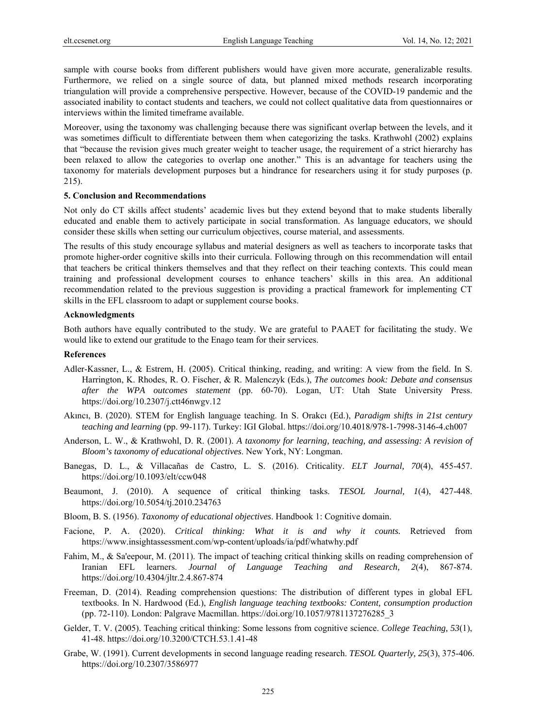sample with course books from different publishers would have given more accurate, generalizable results. Furthermore, we relied on a single source of data, but planned mixed methods research incorporating triangulation will provide a comprehensive perspective. However, because of the COVID-19 pandemic and the associated inability to contact students and teachers, we could not collect qualitative data from questionnaires or interviews within the limited timeframe available.

Moreover, using the taxonomy was challenging because there was significant overlap between the levels, and it was sometimes difficult to differentiate between them when categorizing the tasks. Krathwohl (2002) explains that "because the revision gives much greater weight to teacher usage, the requirement of a strict hierarchy has been relaxed to allow the categories to overlap one another." This is an advantage for teachers using the taxonomy for materials development purposes but a hindrance for researchers using it for study purposes (p. 215).

#### **5. Conclusion and Recommendations**

Not only do CT skills affect students' academic lives but they extend beyond that to make students liberally educated and enable them to actively participate in social transformation. As language educators, we should consider these skills when setting our curriculum objectives, course material, and assessments.

The results of this study encourage syllabus and material designers as well as teachers to incorporate tasks that promote higher-order cognitive skills into their curricula. Following through on this recommendation will entail that teachers be critical thinkers themselves and that they reflect on their teaching contexts. This could mean training and professional development courses to enhance teachers' skills in this area. An additional recommendation related to the previous suggestion is providing a practical framework for implementing CT skills in the EFL classroom to adapt or supplement course books.

#### **Acknowledgments**

Both authors have equally contributed to the study. We are grateful to PAAET for facilitating the study. We would like to extend our gratitude to the Enago team for their services.

#### **References**

- Adler-Kassner, L., & Estrem, H. (2005). Critical thinking, reading, and writing: A view from the field. In S. Harrington, K. Rhodes, R. O. Fischer, & R. Malenczyk (Eds.), *The outcomes book: Debate and consensus after the WPA outcomes statement* (pp. 60-70). Logan, UT: Utah State University Press. https://doi.org/10.2307/j.ctt46nwgv.12
- Akıncı, B. (2020). STEM for English language teaching. In S. Orakcı (Ed.), *Paradigm shifts in 21st century teaching and learning* (pp. 99-117). Turkey: IGI Global. https://doi.org/10.4018/978-1-7998-3146-4.ch007
- Anderson, L. W., & Krathwohl, D. R. (2001). *A taxonomy for learning, teaching, and assessing: A revision of Bloom's taxonomy of educational objectives*. New York, NY: Longman.
- Banegas, D. L., & Villacañas de Castro, L. S. (2016). Criticality. *ELT Journal, 70*(4), 455-457. https://doi.org/10.1093/elt/ccw048
- Beaumont, J. (2010). A sequence of critical thinking tasks. *TESOL Journal, 1*(4), 427-448. https://doi.org/10.5054/tj.2010.234763
- Bloom, B. S. (1956). *Taxonomy of educational objectives*. Handbook 1: Cognitive domain.
- Facione, P. A. (2020). *Critical thinking: What it is and why it counts.* Retrieved from https://www.insightassessment.com/wp-content/uploads/ia/pdf/whatwhy.pdf
- Fahim, M., & Sa'eepour, M. (2011). The impact of teaching critical thinking skills on reading comprehension of Iranian EFL learners. *Journal of Language Teaching and Research, 2*(4), 867-874. https://doi.org/10.4304/jltr.2.4.867-874
- Freeman, D. (2014). Reading comprehension questions: The distribution of different types in global EFL textbooks. In N. Hardwood (Ed.), *English language teaching textbooks: Content, consumption production* (pp. 72-110). London: Palgrave Macmillan. https://doi.org/10.1057/9781137276285\_3
- Gelder, T. V. (2005). Teaching critical thinking: Some lessons from cognitive science. *College Teaching, 53*(1), 41-48. https://doi.org/10.3200/CTCH.53.1.41-48
- Grabe, W. (1991). Current developments in second language reading research. *TESOL Quarterly, 25*(3), 375-406. https://doi.org/10.2307/3586977